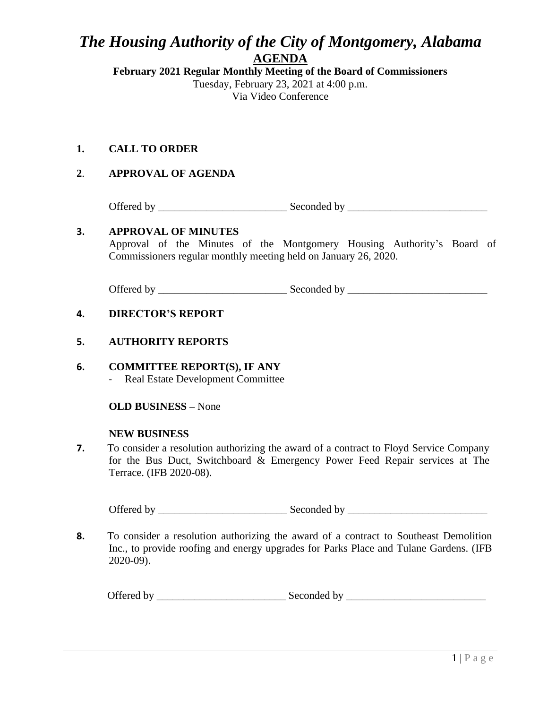## *The Housing Authority of the City of Montgomery, Alabama* **AGENDA**

**February 2021 Regular Monthly Meeting of the Board of Commissioners** Tuesday, February 23, 2021 at 4:00 p.m. Via Video Conference

**1. CALL TO ORDER**

## **2**. **APPROVAL OF AGENDA**

Offered by \_\_\_\_\_\_\_\_\_\_\_\_\_\_\_\_\_\_\_\_\_\_\_\_ Seconded by \_\_\_\_\_\_\_\_\_\_\_\_\_\_\_\_\_\_\_\_\_\_\_\_\_\_

### **3. APPROVAL OF MINUTES**

Approval of the Minutes of the Montgomery Housing Authority's Board of Commissioners regular monthly meeting held on January 26, 2020.

Offered by \_\_\_\_\_\_\_\_\_\_\_\_\_\_\_\_\_\_\_\_\_\_\_\_ Seconded by \_\_\_\_\_\_\_\_\_\_\_\_\_\_\_\_\_\_\_\_\_\_\_\_\_\_

#### **4. DIRECTOR'S REPORT**

#### **5. AUTHORITY REPORTS**

**6. COMMITTEE REPORT(S), IF ANY** - Real Estate Development Committee

**OLD BUSINESS –** None

#### **NEW BUSINESS**

**7.** To consider a resolution authorizing the award of a contract to Floyd Service Company for the Bus Duct, Switchboard & Emergency Power Feed Repair services at The Terrace. (IFB 2020-08).

Offered by \_\_\_\_\_\_\_\_\_\_\_\_\_\_\_\_\_\_\_\_\_\_\_\_ Seconded by \_\_\_\_\_\_\_\_\_\_\_\_\_\_\_\_\_\_\_\_\_\_\_\_\_\_

**8.** To consider a resolution authorizing the award of a contract to Southeast Demolition Inc., to provide roofing and energy upgrades for Parks Place and Tulane Gardens. (IFB 2020-09).

Offered by \_\_\_\_\_\_\_\_\_\_\_\_\_\_\_\_\_\_\_\_\_\_\_\_ Seconded by \_\_\_\_\_\_\_\_\_\_\_\_\_\_\_\_\_\_\_\_\_\_\_\_\_\_